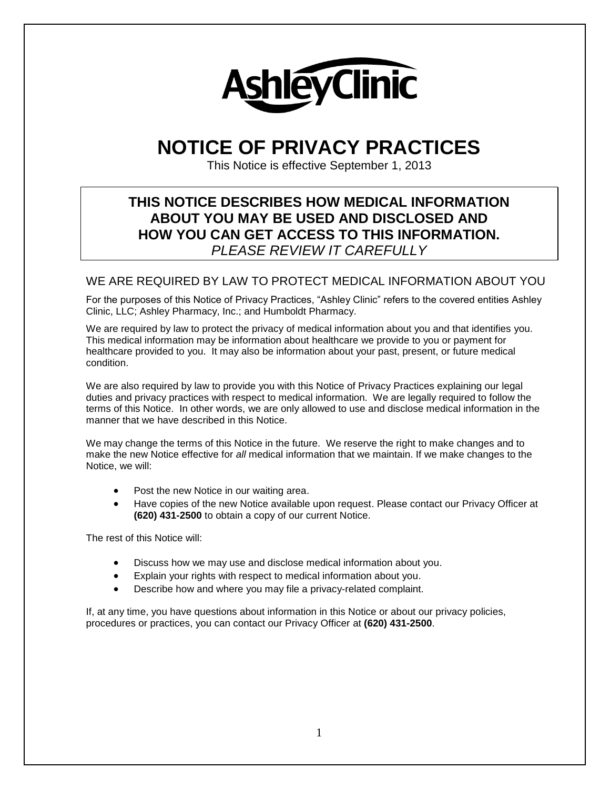

# **NOTICE OF PRIVACY PRACTICES**

This Notice is effective September 1, 2013

# **THIS NOTICE DESCRIBES HOW MEDICAL INFORMATION ABOUT YOU MAY BE USED AND DISCLOSED AND HOW YOU CAN GET ACCESS TO THIS INFORMATION.** *PLEASE REVIEW IT CAREFULLY*

## WE ARE REQUIRED BY LAW TO PROTECT MEDICAL INFORMATION ABOUT YOU

For the purposes of this Notice of Privacy Practices, "Ashley Clinic" refers to the covered entities Ashley Clinic, LLC; Ashley Pharmacy, Inc.; and Humboldt Pharmacy.

We are required by law to protect the privacy of medical information about you and that identifies you. This medical information may be information about healthcare we provide to you or payment for healthcare provided to you. It may also be information about your past, present, or future medical condition.

We are also required by law to provide you with this Notice of Privacy Practices explaining our legal duties and privacy practices with respect to medical information. We are legally required to follow the terms of this Notice. In other words, we are only allowed to use and disclose medical information in the manner that we have described in this Notice.

We may change the terms of this Notice in the future. We reserve the right to make changes and to make the new Notice effective for *all* medical information that we maintain. If we make changes to the Notice, we will:

- Post the new Notice in our waiting area.
- Have copies of the new Notice available upon request. Please contact our Privacy Officer at **(620) 431-2500** to obtain a copy of our current Notice.

The rest of this Notice will:

- Discuss how we may use and disclose medical information about you.
- Explain your rights with respect to medical information about you.
- Describe how and where you may file a privacy-related complaint.

If, at any time, you have questions about information in this Notice or about our privacy policies, procedures or practices, you can contact our Privacy Officer at **(620) 431-2500**.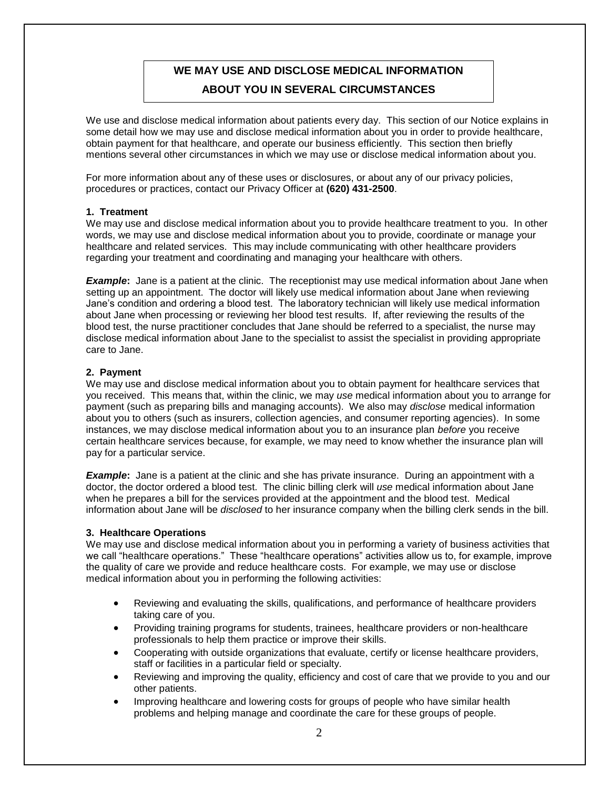# **WE MAY USE AND DISCLOSE MEDICAL INFORMATION ABOUT YOU IN SEVERAL CIRCUMSTANCES**

We use and disclose medical information about patients every day. This section of our Notice explains in some detail how we may use and disclose medical information about you in order to provide healthcare, obtain payment for that healthcare, and operate our business efficiently. This section then briefly mentions several other circumstances in which we may use or disclose medical information about you.

For more information about any of these uses or disclosures, or about any of our privacy policies, procedures or practices, contact our Privacy Officer at **(620) 431-2500**.

#### **1. Treatment**

We may use and disclose medical information about you to provide healthcare treatment to you. In other words, we may use and disclose medical information about you to provide, coordinate or manage your healthcare and related services. This may include communicating with other healthcare providers regarding your treatment and coordinating and managing your healthcare with others.

*Example*: Jane is a patient at the clinic. The receptionist may use medical information about Jane when setting up an appointment. The doctor will likely use medical information about Jane when reviewing Jane's condition and ordering a blood test. The laboratory technician will likely use medical information about Jane when processing or reviewing her blood test results. If, after reviewing the results of the blood test, the nurse practitioner concludes that Jane should be referred to a specialist, the nurse may disclose medical information about Jane to the specialist to assist the specialist in providing appropriate care to Jane.

#### **2. Payment**

We may use and disclose medical information about you to obtain payment for healthcare services that you received. This means that, within the clinic, we may *use* medical information about you to arrange for payment (such as preparing bills and managing accounts). We also may *disclose* medical information about you to others (such as insurers, collection agencies, and consumer reporting agencies). In some instances, we may disclose medical information about you to an insurance plan *before* you receive certain healthcare services because, for example, we may need to know whether the insurance plan will pay for a particular service.

*Example*: Jane is a patient at the clinic and she has private insurance. During an appointment with a doctor, the doctor ordered a blood test. The clinic billing clerk will *use* medical information about Jane when he prepares a bill for the services provided at the appointment and the blood test. Medical information about Jane will be *disclosed* to her insurance company when the billing clerk sends in the bill.

#### **3. Healthcare Operations**

We may use and disclose medical information about you in performing a variety of business activities that we call "healthcare operations." These "healthcare operations" activities allow us to, for example, improve the quality of care we provide and reduce healthcare costs. For example, we may use or disclose medical information about you in performing the following activities:

- Reviewing and evaluating the skills, qualifications, and performance of healthcare providers taking care of you.
- Providing training programs for students, trainees, healthcare providers or non-healthcare professionals to help them practice or improve their skills.
- Cooperating with outside organizations that evaluate, certify or license healthcare providers, staff or facilities in a particular field or specialty.
- Reviewing and improving the quality, efficiency and cost of care that we provide to you and our other patients.
- Improving healthcare and lowering costs for groups of people who have similar health problems and helping manage and coordinate the care for these groups of people.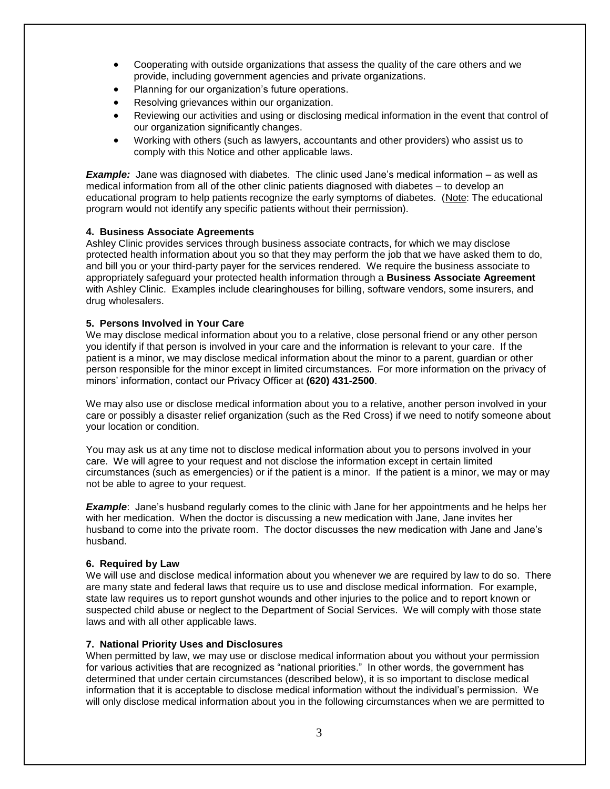- Cooperating with outside organizations that assess the quality of the care others and we provide, including government agencies and private organizations.
- Planning for our organization's future operations.
- Resolving grievances within our organization.
- Reviewing our activities and using or disclosing medical information in the event that control of our organization significantly changes.
- Working with others (such as lawyers, accountants and other providers) who assist us to comply with this Notice and other applicable laws.

**Example:** Jane was diagnosed with diabetes. The clinic used Jane's medical information – as well as medical information from all of the other clinic patients diagnosed with diabetes – to develop an educational program to help patients recognize the early symptoms of diabetes. (Note: The educational program would not identify any specific patients without their permission).

#### **4. Business Associate Agreements**

Ashley Clinic provides services through business associate contracts, for which we may disclose protected health information about you so that they may perform the job that we have asked them to do, and bill you or your third-party payer for the services rendered. We require the business associate to appropriately safeguard your protected health information through a **Business Associate Agreement** with Ashley Clinic. Examples include clearinghouses for billing, software vendors, some insurers, and drug wholesalers.

#### **5. Persons Involved in Your Care**

We may disclose medical information about you to a relative, close personal friend or any other person you identify if that person is involved in your care and the information is relevant to your care. If the patient is a minor, we may disclose medical information about the minor to a parent, guardian or other person responsible for the minor except in limited circumstances. For more information on the privacy of minors' information, contact our Privacy Officer at **(620) 431-2500**.

We may also use or disclose medical information about you to a relative, another person involved in your care or possibly a disaster relief organization (such as the Red Cross) if we need to notify someone about your location or condition.

You may ask us at any time not to disclose medical information about you to persons involved in your care. We will agree to your request and not disclose the information except in certain limited circumstances (such as emergencies) or if the patient is a minor. If the patient is a minor, we may or may not be able to agree to your request.

*Example*: Jane's husband regularly comes to the clinic with Jane for her appointments and he helps her with her medication. When the doctor is discussing a new medication with Jane, Jane invites her husband to come into the private room. The doctor discusses the new medication with Jane and Jane's husband.

#### **6. Required by Law**

We will use and disclose medical information about you whenever we are required by law to do so. There are many state and federal laws that require us to use and disclose medical information. For example, state law requires us to report gunshot wounds and other injuries to the police and to report known or suspected child abuse or neglect to the Department of Social Services. We will comply with those state laws and with all other applicable laws.

#### **7. National Priority Uses and Disclosures**

When permitted by law, we may use or disclose medical information about you without your permission for various activities that are recognized as "national priorities." In other words, the government has determined that under certain circumstances (described below), it is so important to disclose medical information that it is acceptable to disclose medical information without the individual's permission. We will only disclose medical information about you in the following circumstances when we are permitted to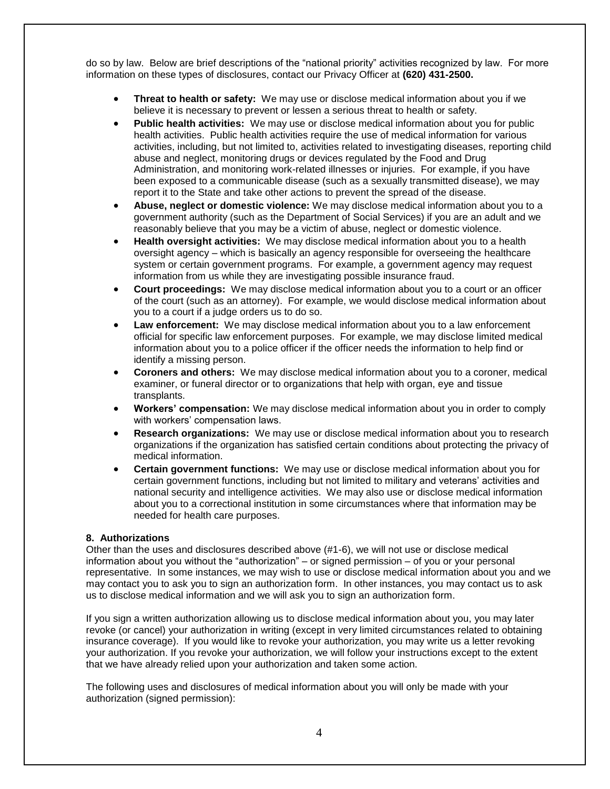do so by law. Below are brief descriptions of the "national priority" activities recognized by law. For more information on these types of disclosures, contact our Privacy Officer at **(620) 431-2500.**

- **Threat to health or safety:** We may use or disclose medical information about you if we believe it is necessary to prevent or lessen a serious threat to health or safety.
- **Public health activities:** We may use or disclose medical information about you for public health activities. Public health activities require the use of medical information for various activities, including, but not limited to, activities related to investigating diseases, reporting child abuse and neglect, monitoring drugs or devices regulated by the Food and Drug Administration, and monitoring work-related illnesses or injuries. For example, if you have been exposed to a communicable disease (such as a sexually transmitted disease), we may report it to the State and take other actions to prevent the spread of the disease.
- **Abuse, neglect or domestic violence:** We may disclose medical information about you to a government authority (such as the Department of Social Services) if you are an adult and we reasonably believe that you may be a victim of abuse, neglect or domestic violence.
- **Health oversight activities:** We may disclose medical information about you to a health oversight agency – which is basically an agency responsible for overseeing the healthcare system or certain government programs. For example, a government agency may request information from us while they are investigating possible insurance fraud.
- **Court proceedings:** We may disclose medical information about you to a court or an officer of the court (such as an attorney). For example, we would disclose medical information about you to a court if a judge orders us to do so.
- **Law enforcement:** We may disclose medical information about you to a law enforcement official for specific law enforcement purposes. For example, we may disclose limited medical information about you to a police officer if the officer needs the information to help find or identify a missing person.
- **Coroners and others:** We may disclose medical information about you to a coroner, medical examiner, or funeral director or to organizations that help with organ, eye and tissue transplants.
- **Workers' compensation:** We may disclose medical information about you in order to comply with workers' compensation laws.
- **Research organizations:** We may use or disclose medical information about you to research organizations if the organization has satisfied certain conditions about protecting the privacy of medical information.
- **Certain government functions:** We may use or disclose medical information about you for certain government functions, including but not limited to military and veterans' activities and national security and intelligence activities. We may also use or disclose medical information about you to a correctional institution in some circumstances where that information may be needed for health care purposes.

#### **8. Authorizations**

Other than the uses and disclosures described above (#1-6), we will not use or disclose medical information about you without the "authorization" – or signed permission – of you or your personal representative. In some instances, we may wish to use or disclose medical information about you and we may contact you to ask you to sign an authorization form. In other instances, you may contact us to ask us to disclose medical information and we will ask you to sign an authorization form.

If you sign a written authorization allowing us to disclose medical information about you, you may later revoke (or cancel) your authorization in writing (except in very limited circumstances related to obtaining insurance coverage). If you would like to revoke your authorization, you may write us a letter revoking your authorization. If you revoke your authorization, we will follow your instructions except to the extent that we have already relied upon your authorization and taken some action.

The following uses and disclosures of medical information about you will only be made with your authorization (signed permission):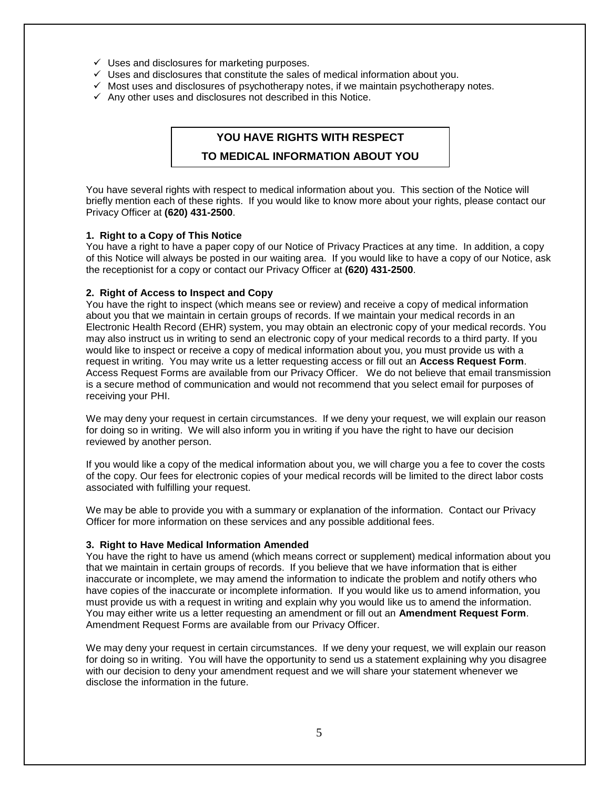- $\checkmark$  Uses and disclosures for marketing purposes.
- $\checkmark$  Uses and disclosures that constitute the sales of medical information about you.
- $\checkmark$  Most uses and disclosures of psychotherapy notes, if we maintain psychotherapy notes.
- $\checkmark$  Any other uses and disclosures not described in this Notice.

## **YOU HAVE RIGHTS WITH RESPECT**

#### **TO MEDICAL INFORMATION ABOUT YOU**

You have several rights with respect to medical information about you. This section of the Notice will briefly mention each of these rights. If you would like to know more about your rights, please contact our Privacy Officer at **(620) 431-2500**.

#### **1. Right to a Copy of This Notice**

You have a right to have a paper copy of our Notice of Privacy Practices at any time. In addition, a copy of this Notice will always be posted in our waiting area. If you would like to have a copy of our Notice, ask the receptionist for a copy or contact our Privacy Officer at **(620) 431-2500**.

#### **2. Right of Access to Inspect and Copy**

You have the right to inspect (which means see or review) and receive a copy of medical information about you that we maintain in certain groups of records. If we maintain your medical records in an Electronic Health Record (EHR) system, you may obtain an electronic copy of your medical records. You may also instruct us in writing to send an electronic copy of your medical records to a third party. If you would like to inspect or receive a copy of medical information about you, you must provide us with a request in writing. You may write us a letter requesting access or fill out an **Access Request Form**. Access Request Forms are available from our Privacy Officer. We do not believe that email transmission is a secure method of communication and would not recommend that you select email for purposes of receiving your PHI.

We may deny your request in certain circumstances. If we deny your request, we will explain our reason for doing so in writing. We will also inform you in writing if you have the right to have our decision reviewed by another person.

If you would like a copy of the medical information about you, we will charge you a fee to cover the costs of the copy. Our fees for electronic copies of your medical records will be limited to the direct labor costs associated with fulfilling your request.

We may be able to provide you with a summary or explanation of the information. Contact our Privacy Officer for more information on these services and any possible additional fees.

#### **3. Right to Have Medical Information Amended**

You have the right to have us amend (which means correct or supplement) medical information about you that we maintain in certain groups of records. If you believe that we have information that is either inaccurate or incomplete, we may amend the information to indicate the problem and notify others who have copies of the inaccurate or incomplete information. If you would like us to amend information, you must provide us with a request in writing and explain why you would like us to amend the information. You may either write us a letter requesting an amendment or fill out an **Amendment Request Form**. Amendment Request Forms are available from our Privacy Officer.

We may deny your request in certain circumstances. If we deny your request, we will explain our reason for doing so in writing. You will have the opportunity to send us a statement explaining why you disagree with our decision to deny your amendment request and we will share your statement whenever we disclose the information in the future.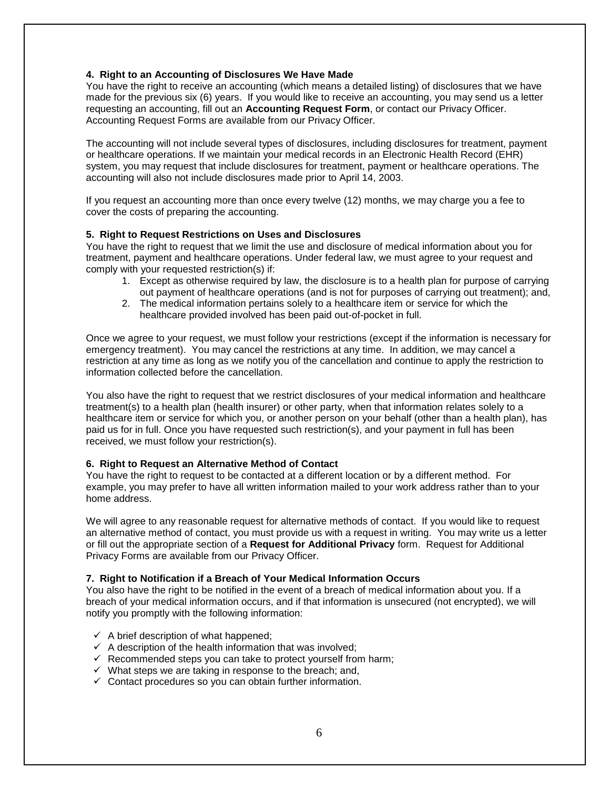#### **4. Right to an Accounting of Disclosures We Have Made**

You have the right to receive an accounting (which means a detailed listing) of disclosures that we have made for the previous six (6) years. If you would like to receive an accounting, you may send us a letter requesting an accounting, fill out an **Accounting Request Form**, or contact our Privacy Officer. Accounting Request Forms are available from our Privacy Officer.

The accounting will not include several types of disclosures, including disclosures for treatment, payment or healthcare operations. If we maintain your medical records in an Electronic Health Record (EHR) system, you may request that include disclosures for treatment, payment or healthcare operations. The accounting will also not include disclosures made prior to April 14, 2003.

If you request an accounting more than once every twelve (12) months, we may charge you a fee to cover the costs of preparing the accounting.

#### **5. Right to Request Restrictions on Uses and Disclosures**

You have the right to request that we limit the use and disclosure of medical information about you for treatment, payment and healthcare operations. Under federal law, we must agree to your request and comply with your requested restriction(s) if:

- 1. Except as otherwise required by law, the disclosure is to a health plan for purpose of carrying out payment of healthcare operations (and is not for purposes of carrying out treatment); and,
- 2. The medical information pertains solely to a healthcare item or service for which the healthcare provided involved has been paid out-of-pocket in full.

Once we agree to your request, we must follow your restrictions (except if the information is necessary for emergency treatment). You may cancel the restrictions at any time. In addition, we may cancel a restriction at any time as long as we notify you of the cancellation and continue to apply the restriction to information collected before the cancellation.

You also have the right to request that we restrict disclosures of your medical information and healthcare treatment(s) to a health plan (health insurer) or other party, when that information relates solely to a healthcare item or service for which you, or another person on your behalf (other than a health plan), has paid us for in full. Once you have requested such restriction(s), and your payment in full has been received, we must follow your restriction(s).

#### **6. Right to Request an Alternative Method of Contact**

You have the right to request to be contacted at a different location or by a different method. For example, you may prefer to have all written information mailed to your work address rather than to your home address.

We will agree to any reasonable request for alternative methods of contact. If you would like to request an alternative method of contact, you must provide us with a request in writing. You may write us a letter or fill out the appropriate section of a **Request for Additional Privacy** form. Request for Additional Privacy Forms are available from our Privacy Officer.

#### **7. Right to Notification if a Breach of Your Medical Information Occurs**

You also have the right to be notified in the event of a breach of medical information about you. If a breach of your medical information occurs, and if that information is unsecured (not encrypted), we will notify you promptly with the following information:

- $\checkmark$  A brief description of what happened;
- $\checkmark$  A description of the health information that was involved;
- $\checkmark$  Recommended steps you can take to protect yourself from harm;
- $\checkmark$  What steps we are taking in response to the breach; and,
- $\checkmark$  Contact procedures so you can obtain further information.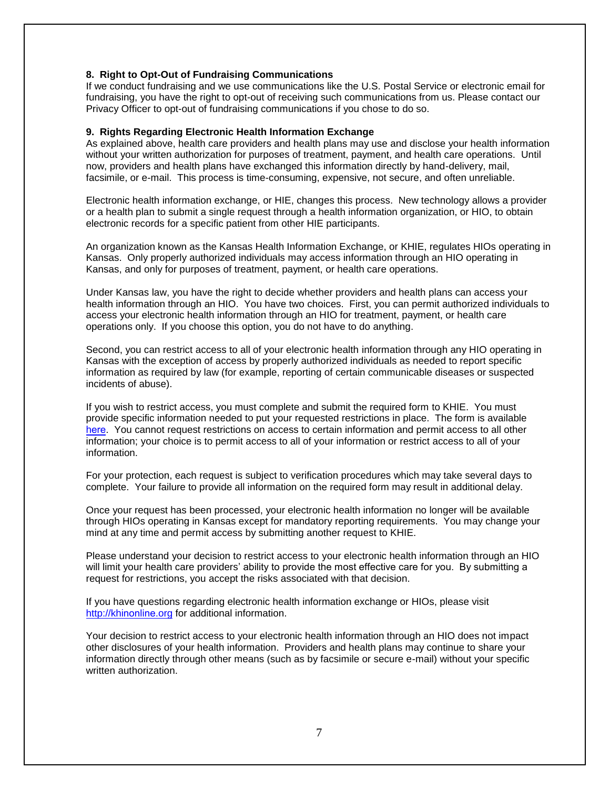#### **8. Right to Opt-Out of Fundraising Communications**

If we conduct fundraising and we use communications like the U.S. Postal Service or electronic email for fundraising, you have the right to opt-out of receiving such communications from us. Please contact our Privacy Officer to opt-out of fundraising communications if you chose to do so.

#### **9. Rights Regarding Electronic Health Information Exchange**

As explained above, health care providers and health plans may use and disclose your health information without your written authorization for purposes of treatment, payment, and health care operations. Until now, providers and health plans have exchanged this information directly by hand-delivery, mail, facsimile, or e-mail. This process is time-consuming, expensive, not secure, and often unreliable.

Electronic health information exchange, or HIE, changes this process. New technology allows a provider or a health plan to submit a single request through a health information organization, or HIO, to obtain electronic records for a specific patient from other HIE participants.

An organization known as the Kansas Health Information Exchange, or KHIE, regulates HIOs operating in Kansas. Only properly authorized individuals may access information through an HIO operating in Kansas, and only for purposes of treatment, payment, or health care operations.

Under Kansas law, you have the right to decide whether providers and health plans can access your health information through an HIO. You have two choices. First, you can permit authorized individuals to access your electronic health information through an HIO for treatment, payment, or health care operations only. If you choose this option, you do not have to do anything.

Second, you can restrict access to all of your electronic health information through any HIO operating in Kansas with the exception of access by properly authorized individuals as needed to report specific information as required by law (for example, reporting of certain communicable diseases or suspected incidents of abuse).

If you wish to restrict access, you must complete and submit the required form to KHIE. You must provide specific information needed to put your requested restrictions in place. The form is available here[. You cannot re](https://khap2.kdhe.state.ks.us/public/hie/forms/restriction form.pdf)quest restrictions on access to certain information and permit access to all other information; your choice is to permit access to all of your information or restrict access to all of your information.

For your protection, each request is subject to verification procedures which may take several days to complete. Your failure to provide all information on the required form may result in additional delay.

Once your request has been processed, your electronic health information no longer will be available through HIOs operating in Kansas except for mandatory reporting requirements. You may change your mind at any time and permit access by submitting another request to KHIE.

Please understand your decision to restrict access to your electronic health information through an HIO will limit your health care providers' ability to provide the most effective care for you. By submitting a request for restrictions, you accept the risks associated with that decision.

If you have questions regarding electronic health information exchange or HIOs, please visit [http://khi](http://khinonline.org)nonline.org for additional information.

Your decision to restrict access to your electronic health information through an HIO does not impact other disclosures of your health information. Providers and health plans may continue to share your information directly through other means (such as by facsimile or secure e-mail) without your specific written authorization.